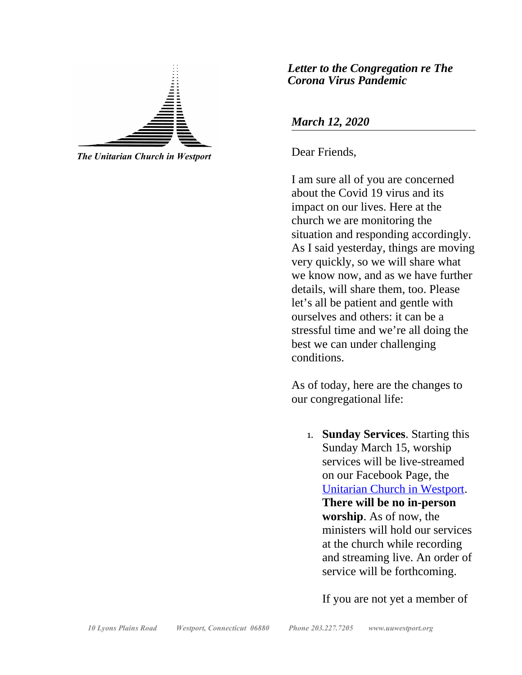

*The Unitarian Church in Westport*

*Letter to the Congregation re The Corona Virus Pandemic*

#### *March 12, 2020*

Dear Friends,

I am sure all of you are concerned about the Covid 19 virus and its impact on our lives. Here at the church we are monitoring the situation and responding accordingly. As I said yesterday, things are moving very quickly, so we will share what we know now, and as we have further details, will share them, too. Please let's all be patient and gentle with ourselves and others: it can be a stressful time and we're all doing the best we can under challenging conditions.

As of today, here are the changes to our congregational life:

1. **Sunday Services**. Starting this Sunday March 15, worship services will be live-streamed on our Facebook Page, the [Unitarian Church in Westport.](https://www.facebook.com/Unitarian-Church-In-Westport-116210751735977/) **There will be no in-person worship**. As of now, the ministers will hold our services at the church while recording and streaming live. An order of service will be forthcoming.

If you are not yet a member of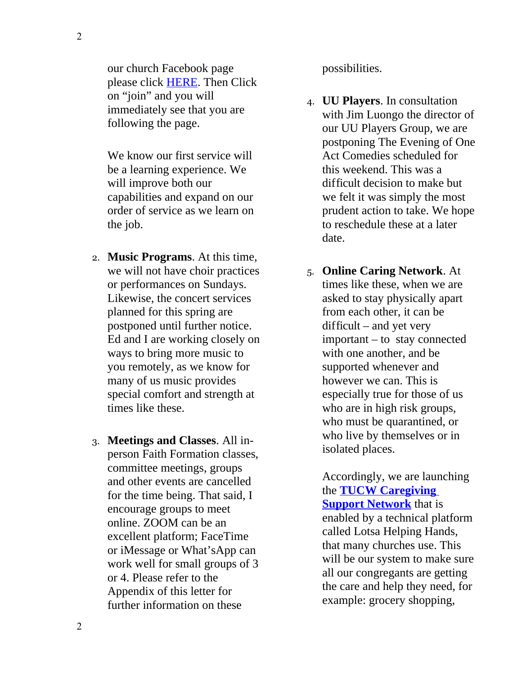our church Facebook page please click [HERE.](https://www.facebook.com/Unitarian-Church-In-Westport-116210751735977/) Then Click on "join" and you will immediately see that you are following the page.

We know our first service will be a learning experience. We will improve both our capabilities and expand on our order of service as we learn on the job.

- 2. **Music Programs**. At this time, we will not have choir practices or performances on Sundays. Likewise, the concert services planned for this spring are postponed until further notice. Ed and I are working closely on ways to bring more music to you remotely, as we know for many of us music provides special comfort and strength at times like these.
- 3. **Meetings and Classes**. All inperson Faith Formation classes, committee meetings, groups and other events are cancelled for the time being. That said, I encourage groups to meet online. ZOOM can be an excellent platform; FaceTime or iMessage or What'sApp can work well for small groups of 3 or 4. Please refer to the Appendix of this letter for further information on these

possibilities.

- 4. **UU Players**. In consultation with Jim Luongo the director of our UU Players Group, we are postponing The Evening of One Act Comedies scheduled for this weekend. This was a difficult decision to make but we felt it was simply the most prudent action to take. We hope to reschedule these at a later date.
- 5. **Online Caring Network**. At times like these, when we are asked to stay physically apart from each other, it can be difficult – and yet very important – to stay connected with one another, and be supported whenever and however we can. This is especially true for those of us who are in high risk groups, who must be quarantined, or who live by themselves or in isolated places.

Accordingly, we are launching the **[TUCW Caregiving](http://bit.ly/tucwsupportnetwork)  [Support Network](http://bit.ly/tucwsupportnetwork)** that is enabled by a technical platform called Lotsa Helping Hands, that many churches use. This will be our system to make sure all our congregants are getting the care and help they need, for example: grocery shopping,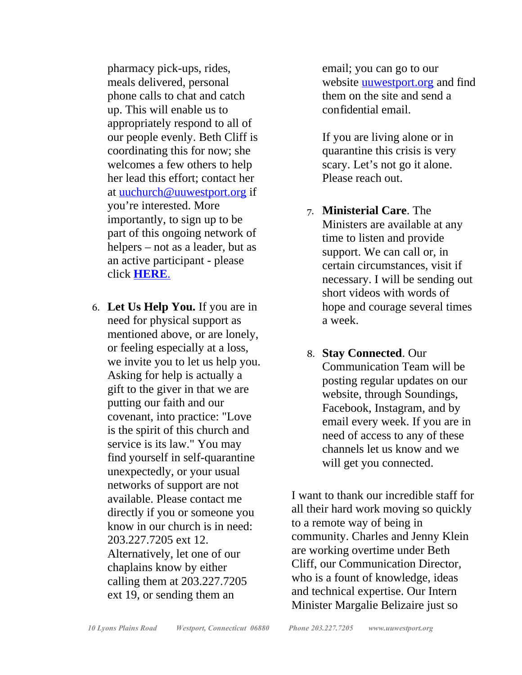pharmacy pick-ups, rides, meals delivered, personal phone calls to chat and catch up. This will enable us to appropriately respond to all of our people evenly. Beth Cliff is coordinating this for now; she welcomes a few others to help her lead this effort; contact her at [uuchurch@uuwestport.org](mailto:uuchurch@uuwestport.org) if you're interested. More importantly, to sign up to be part of this ongoing network of helpers – not as a leader, but as an active participant - please click **[HERE](http://bit.ly/tucwsupportnetwork)**.

6. **Let Us Help You.** If you are in need for physical support as mentioned above, or are lonely, or feeling especially at a loss, we invite you to let us help you. Asking for help is actually a gift to the giver in that we are putting our faith and our covenant, into practice: "Love is the spirit of this church and service is its law." You may find yourself in self-quarantine unexpectedly, or your usual networks of support are not available. Please contact me directly if you or someone you know in our church is in need: 203.227.7205 ext 12. Alternatively, let one of our chaplains know by either calling them at 203.227.7205 ext 19, or sending them an

email; you can go to our website **universe** and find them on the site and send a confidential email.

If you are living alone or in quarantine this crisis is very scary. Let's not go it alone. Please reach out.

- 7. **Ministerial Care**. The Ministers are available at any time to listen and provide support. We can call or, in certain circumstances, visit if necessary. I will be sending out short videos with words of hope and courage several times a week.
- 8. **Stay Connected**. Our Communication Team will be posting regular updates on our website, through Soundings, Facebook, Instagram, and by email every week. If you are in need of access to any of these channels let us know and we will get you connected.

I want to thank our incredible staff for all their hard work moving so quickly to a remote way of being in community. Charles and Jenny Klein are working overtime under Beth Cliff, our Communication Director, who is a fount of knowledge, ideas and technical expertise. Our Intern Minister Margalie Belizaire just so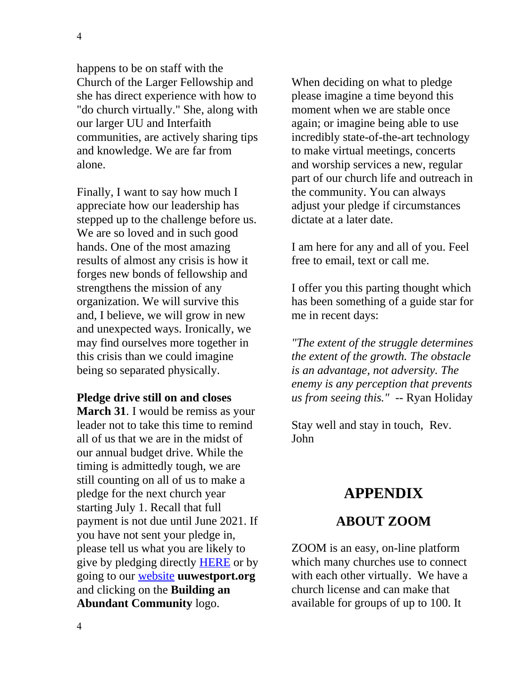4

happens to be on staff with the Church of the Larger Fellowship and she has direct experience with how to "do church virtually." She, along with our larger UU and Interfaith communities, are actively sharing tips and knowledge. We are far from alone.

Finally, I want to say how much I appreciate how our leadership has stepped up to the challenge before us. We are so loved and in such good hands. One of the most amazing results of almost any crisis is how it forges new bonds of fellowship and strengthens the mission of any organization. We will survive this and, I believe, we will grow in new and unexpected ways. Ironically, we may find ourselves more together in this crisis than we could imagine being so separated physically.

**Pledge drive still on and closes March 31**. I would be remiss as your leader not to take this time to remind all of us that we are in the midst of our annual budget drive. While the timing is admittedly tough, we are still counting on all of us to make a pledge for the next church year starting July 1. Recall that full payment is not due until June 2021. If you have not sent your pledge in, please tell us what you are likely to give by pledging directly [HERE](https://uuwestport.org/mission-statement/donate/) or by going to our [website](http://uuwestport.org/) **uuwestport.org** and clicking on the **Building an Abundant Community** logo.

When deciding on what to pledge please imagine a time beyond this moment when we are stable once again; or imagine being able to use incredibly state-of-the-art technology to make virtual meetings, concerts and worship services a new, regular part of our church life and outreach in the community. You can always adjust your pledge if circumstances dictate at a later date.

I am here for any and all of you. Feel free to email, text or call me.

I offer you this parting thought which has been something of a guide star for me in recent days:

*"The extent of the struggle determines the extent of the growth. The obstacle is an advantage, not adversity. The enemy is any perception that prevents us from seeing this."* -- Ryan Holiday

Stay well and stay in touch, Rev. John

## **APPENDIX**

## **ABOUT ZOOM**

ZOOM is an easy, on-line platform which many churches use to connect with each other virtually. We have a church license and can make that available for groups of up to 100. It